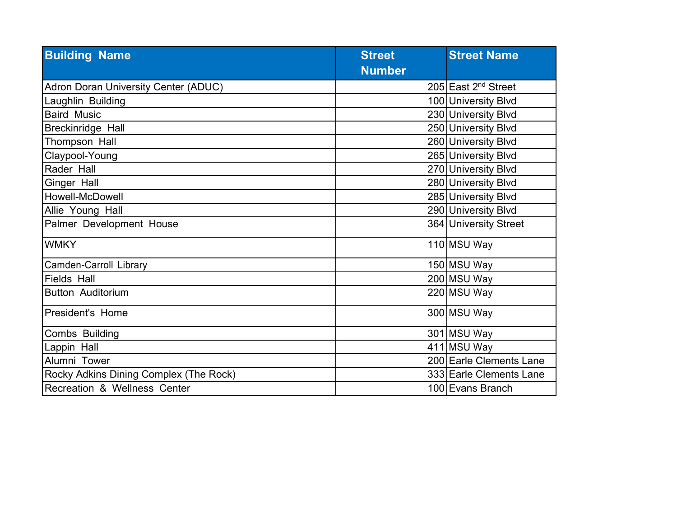| <b>Building Name</b>                   | <b>Street</b> | <b>Street Name</b>              |
|----------------------------------------|---------------|---------------------------------|
|                                        | <b>Number</b> |                                 |
| Adron Doran University Center (ADUC)   |               | 205 East 2 <sup>nd</sup> Street |
| Laughlin Building                      |               | 100 University Blvd             |
| <b>Baird Music</b>                     |               | 230 University Blvd             |
| Breckinridge Hall                      |               | 250 University Blvd             |
| Thompson Hall                          |               | 260 University Blvd             |
| Claypool-Young                         |               | 265 University Blvd             |
| Rader Hall                             |               | 270 University Blvd             |
| Ginger Hall                            |               | 280 University Blvd             |
| Howell-McDowell                        |               | 285 University Blvd             |
| Allie Young Hall                       |               | 290 University Blvd             |
| Palmer Development House               |               | 364 University Street           |
| <b>WMKY</b>                            |               | 110 MSU Way                     |
| <b>Camden-Carroll Library</b>          |               | 150 MSU Way                     |
| <b>Fields Hall</b>                     |               | 200 MSU Way                     |
| Button Auditorium                      |               | 220 MSU Way                     |
| <b>President's Home</b>                |               | 300 MSU Way                     |
| Combs Building                         |               | 301 MSU Way                     |
| Lappin Hall                            |               | 411 MSU Way                     |
| Alumni Tower                           |               | 200 Earle Clements Lane         |
| Rocky Adkins Dining Complex (The Rock) |               | 333 Earle Clements Lane         |
| Recreation & Wellness Center           |               | 100 Evans Branch                |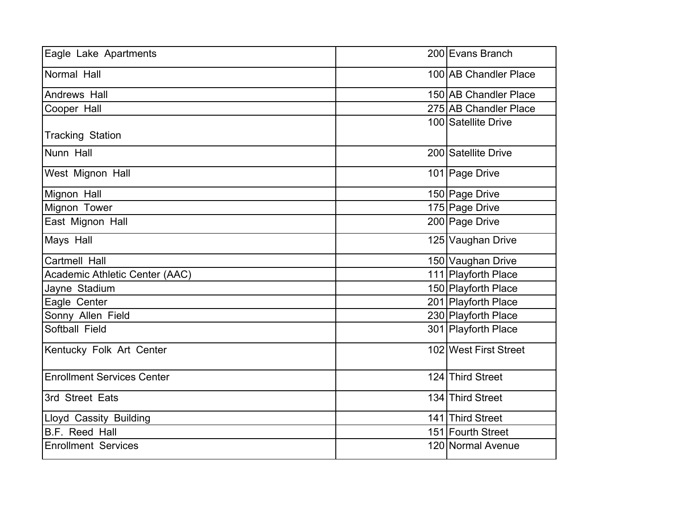| Eagle Lake Apartments             | 200 Evans Branch      |
|-----------------------------------|-----------------------|
| Normal Hall                       | 100 AB Chandler Place |
| Andrews Hall                      | 150 AB Chandler Place |
| Cooper Hall                       | 275 AB Chandler Place |
| <b>Tracking Station</b>           | 100 Satellite Drive   |
| Nunn Hall                         | 200 Satellite Drive   |
| West Mignon Hall                  | 101 Page Drive        |
| Mignon Hall                       | 150 Page Drive        |
| Mignon Tower                      | 175 Page Drive        |
| East Mignon Hall                  | 200 Page Drive        |
| Mays Hall                         | 125 Vaughan Drive     |
| <b>Cartmell Hall</b>              | 150 Vaughan Drive     |
| Academic Athletic Center (AAC)    | 111 Playforth Place   |
| Jayne Stadium                     | 150 Playforth Place   |
| Eagle Center                      | 201 Playforth Place   |
| Sonny Allen Field                 | 230 Playforth Place   |
| Softball Field                    | 301 Playforth Place   |
| Kentucky Folk Art Center          | 102 West First Street |
| <b>Enrollment Services Center</b> | 124 Third Street      |
| 3rd Street Eats                   | 134 Third Street      |
| Lloyd Cassity Building            | 141 Third Street      |
| B.F. Reed Hall                    | 151 Fourth Street     |
| <b>Enrollment Services</b>        | 120 Normal Avenue     |